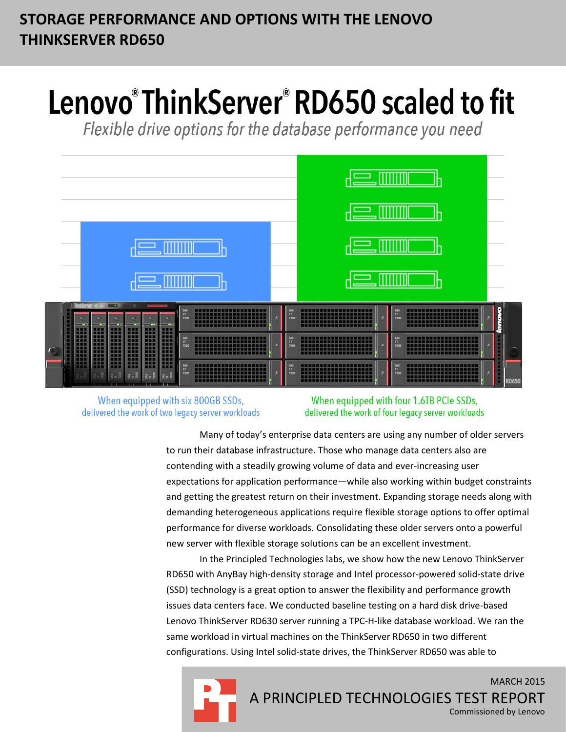# **STORAGE PERFORMANCE AND OPTIONS WITH THE LENOVO THINKSERVER RD650**

# Lenovo®ThinkServer®RD650 scaled to fit

Flexible drive options for the database performance you need



When equipped with six 800GB SSDs, delivered the work of two legacy server workloads

When equipped with four 1.6TB PCIe SSDs, delivered the work of four legacy server workloads

Many of today's enterprise data centers are using any number of older servers to run their database infrastructure. Those who manage data centers also are contending with a steadily growing volume of data and ever-increasing user expectations for application performance—while also working within budget constraints and getting the greatest return on their investment. Expanding storage needs along with demanding heterogeneous applications require flexible storage options to offer optimal performance for diverse workloads. Consolidating these older servers onto a powerful new server with flexible storage solutions can be an excellent investment.

In the Principled Technologies labs, we show how the new Lenovo ThinkServer RD650 with AnyBay high-density storage and Intel processor-powered solid-state drive (SSD) technology is a great option to answer the flexibility and performance growth issues data centers face. We conducted baseline testing on a hard disk drive-based Lenovo ThinkServer RD630 server running a TPC-H-like database workload. We ran the same workload in virtual machines on the ThinkServer RD650 in two different configurations. Using Intel solid-state drives, the ThinkServer RD650 was able to

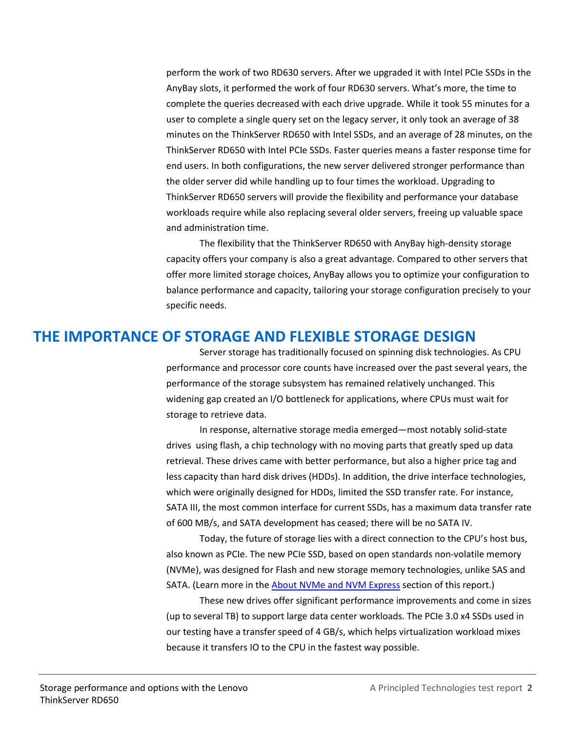perform the work of two RD630 servers. After we upgraded it with Intel PCIe SSDs in the AnyBay slots, it performed the work of four RD630 servers. What's more, the time to complete the queries decreased with each drive upgrade. While it took 55 minutes for a user to complete a single query set on the legacy server, it only took an average of 38 minutes on the ThinkServer RD650 with Intel SSDs, and an average of 28 minutes, on the ThinkServer RD650 with Intel PCIe SSDs. Faster queries means a faster response time for end users. In both configurations, the new server delivered stronger performance than the older server did while handling up to four times the workload. Upgrading to ThinkServer RD650 servers will provide the flexibility and performance your database workloads require while also replacing several older servers, freeing up valuable space and administration time.

The flexibility that the ThinkServer RD650 with AnyBay high-density storage capacity offers your company is also a great advantage. Compared to other servers that offer more limited storage choices, AnyBay allows you to optimize your configuration to balance performance and capacity, tailoring your storage configuration precisely to your specific needs.

## **THE IMPORTANCE OF STORAGE AND FLEXIBLE STORAGE DESIGN**

Server storage has traditionally focused on spinning disk technologies. As CPU performance and processor core counts have increased over the past several years, the performance of the storage subsystem has remained relatively unchanged. This widening gap created an I/O bottleneck for applications, where CPUs must wait for storage to retrieve data.

In response, alternative storage media emerged—most notably solid-state drives using flash, a chip technology with no moving parts that greatly sped up data retrieval. These drives came with better performance, but also a higher price tag and less capacity than hard disk drives (HDDs). In addition, the drive interface technologies, which were originally designed for HDDs, limited the SSD transfer rate. For instance, SATA III, the most common interface for current SSDs, has a maximum data transfer rate of 600 MB/s, and SATA development has ceased; there will be no SATA IV.

Today, the future of storage lies with a direct connection to the CPU's host bus, also known as PCIe. The new PCIe SSD, based on open standards non-volatile memory (NVMe), was designed for Flash and new storage memory technologies, unlike SAS and SATA. (Learn more in the [About NVMe and NVM Express](#page-8-0) section of this report.)

These new drives offer significant performance improvements and come in sizes (up to several TB) to support large data center workloads. The PCIe 3.0 x4 SSDs used in our testing have a transfer speed of 4 GB/s, which helps virtualization workload mixes because it transfers IO to the CPU in the fastest way possible.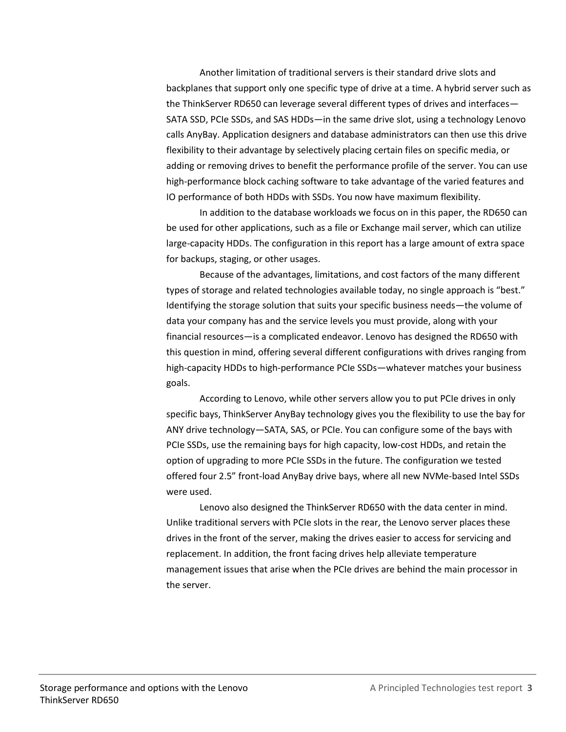Another limitation of traditional servers is their standard drive slots and backplanes that support only one specific type of drive at a time. A hybrid server such as the ThinkServer RD650 can leverage several different types of drives and interfaces— SATA SSD, PCIe SSDs, and SAS HDDs—in the same drive slot, using a technology Lenovo calls AnyBay. Application designers and database administrators can then use this drive flexibility to their advantage by selectively placing certain files on specific media, or adding or removing drives to benefit the performance profile of the server. You can use high-performance block caching software to take advantage of the varied features and IO performance of both HDDs with SSDs. You now have maximum flexibility.

In addition to the database workloads we focus on in this paper, the RD650 can be used for other applications, such as a file or Exchange mail server, which can utilize large-capacity HDDs. The configuration in this report has a large amount of extra space for backups, staging, or other usages.

Because of the advantages, limitations, and cost factors of the many different types of storage and related technologies available today, no single approach is "best." Identifying the storage solution that suits your specific business needs—the volume of data your company has and the service levels you must provide, along with your financial resources—is a complicated endeavor. Lenovo has designed the RD650 with this question in mind, offering several different configurations with drives ranging from high-capacity HDDs to high-performance PCIe SSDs—whatever matches your business goals.

According to Lenovo, while other servers allow you to put PCIe drives in only specific bays, ThinkServer AnyBay technology gives you the flexibility to use the bay for ANY drive technology—SATA, SAS, or PCIe. You can configure some of the bays with PCIe SSDs, use the remaining bays for high capacity, low-cost HDDs, and retain the option of upgrading to more PCIe SSDs in the future. The configuration we tested offered four 2.5" front-load AnyBay drive bays, where all new NVMe-based Intel SSDs were used.

Lenovo also designed the ThinkServer RD650 with the data center in mind. Unlike traditional servers with PCIe slots in the rear, the Lenovo server places these drives in the front of the server, making the drives easier to access for servicing and replacement. In addition, the front facing drives help alleviate temperature management issues that arise when the PCIe drives are behind the main processor in the server.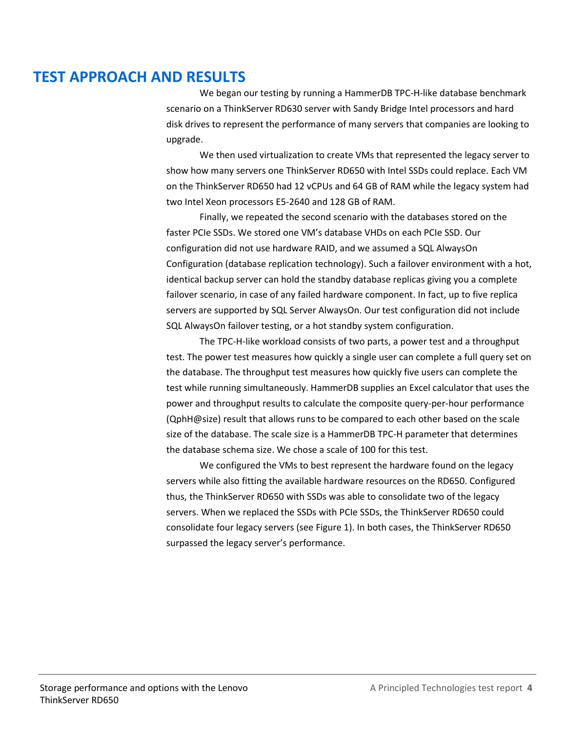## **TEST APPROACH AND RESULTS**

We began our testing by running a HammerDB TPC-H-like database benchmark scenario on a ThinkServer RD630 server with Sandy Bridge Intel processors and hard disk drives to represent the performance of many servers that companies are looking to upgrade.

We then used virtualization to create VMs that represented the legacy server to show how many servers one ThinkServer RD650 with Intel SSDs could replace. Each VM on the ThinkServer RD650 had 12 vCPUs and 64 GB of RAM while the legacy system had two Intel Xeon processors E5-2640 and 128 GB of RAM.

Finally, we repeated the second scenario with the databases stored on the faster PCIe SSDs. We stored one VM's database VHDs on each PCIe SSD. Our configuration did not use hardware RAID, and we assumed a SQL AlwaysOn Configuration (database replication technology). Such a failover environment with a hot, identical backup server can hold the standby database replicas giving you a complete failover scenario, in case of any failed hardware component. In fact, up to five replica servers are supported by SQL Server AlwaysOn. Our test configuration did not include SQL AlwaysOn failover testing, or a hot standby system configuration.

The TPC-H-like workload consists of two parts, a power test and a throughput test. The power test measures how quickly a single user can complete a full query set on the database. The throughput test measures how quickly five users can complete the test while running simultaneously. HammerDB supplies an Excel calculator that uses the power and throughput results to calculate the composite query-per-hour performance (QphH@size) result that allows runs to be compared to each other based on the scale size of the database. The scale size is a HammerDB TPC-H parameter that determines the database schema size. We chose a scale of 100 for this test.

We configured the VMs to best represent the hardware found on the legacy servers while also fitting the available hardware resources on the RD650. Configured thus, the ThinkServer RD650 with SSDs was able to consolidate two of the legacy servers. When we replaced the SSDs with PCIe SSDs, the ThinkServer RD650 could consolidate four legacy servers (see Figure 1). In both cases, the ThinkServer RD650 surpassed the legacy server's performance.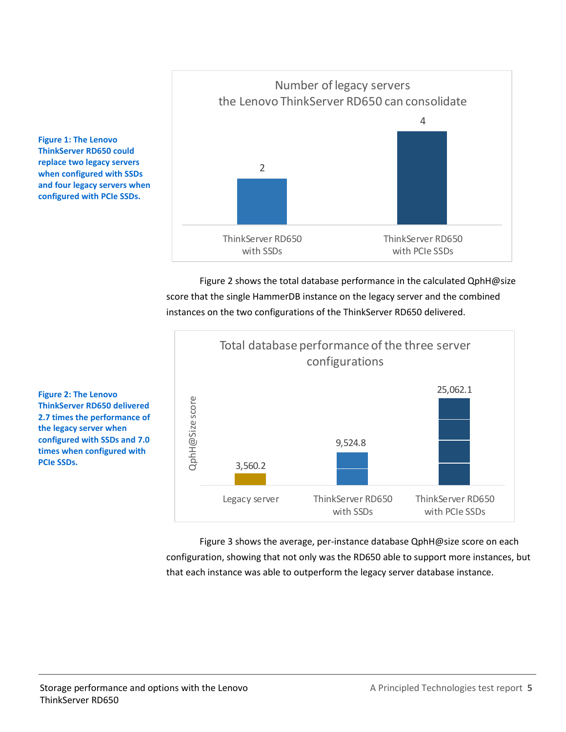

Figure 2 shows the total database performance in the calculated QphH@size score that the single HammerDB instance on the legacy server and the combined instances on the two configurations of the ThinkServer RD650 delivered.



Figure 3 shows the average, per-instance database QphH@size score on each configuration, showing that not only was the RD650 able to support more instances, but that each instance was able to outperform the legacy server database instance.

**Figure 1: The Lenovo ThinkServer RD650 could replace two legacy servers when configured with SSDs and four legacy servers when configured with PCIe SSDs.**

**Figure 2: The Lenovo ThinkServer RD650 delivered 2.7 times the performance of the legacy server when configured with SSDs and 7.0 times when configured with**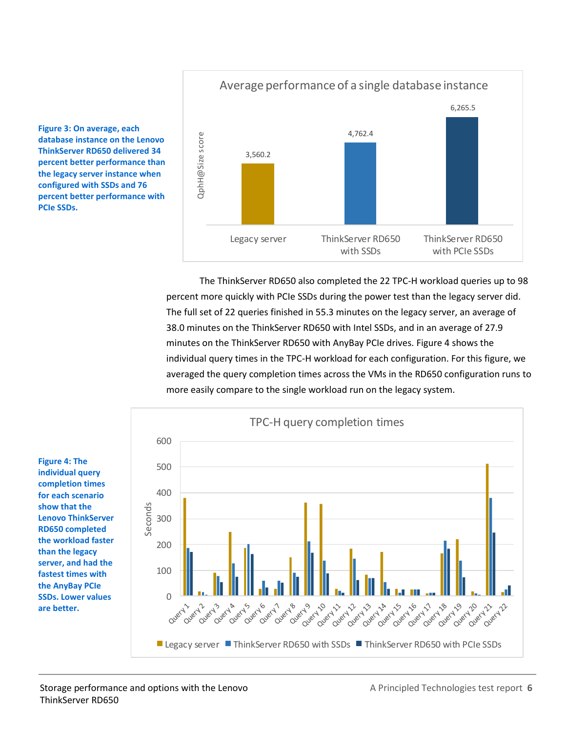**Figure 3: On average, each database instance on the Lenovo ThinkServer RD650 delivered 34 percent better performance than the legacy server instance when configured with SSDs and 76 percent better performance with PCIe SSDs.**

# Average performance of a single database instance 6,265.5 4,762.4 QphH@Size score QphH@Size score 3,560.2 Legacy server ThinkServer RD650 ThinkServer RD650 with SSDs with PCIe SSDs

The ThinkServer RD650 also completed the 22 TPC-H workload queries up to 98 percent more quickly with PCIe SSDs during the power test than the legacy server did. The full set of 22 queries finished in 55.3 minutes on the legacy server, an average of 38.0 minutes on the ThinkServer RD650 with Intel SSDs, and in an average of 27.9 minutes on the ThinkServer RD650 with AnyBay PCIe drives. Figure 4 shows the individual query times in the TPC-H workload for each configuration. For this figure, we averaged the query completion times across the VMs in the RD650 configuration runs to more easily compare to the single workload run on the legacy system.

**Figure 4: The individual query completion times for each scenario show that the Lenovo ThinkServer RD650 completed the workload faster than the legacy server, and had the fastest times with the AnyBay PCIe SSDs. Lower values are better.**

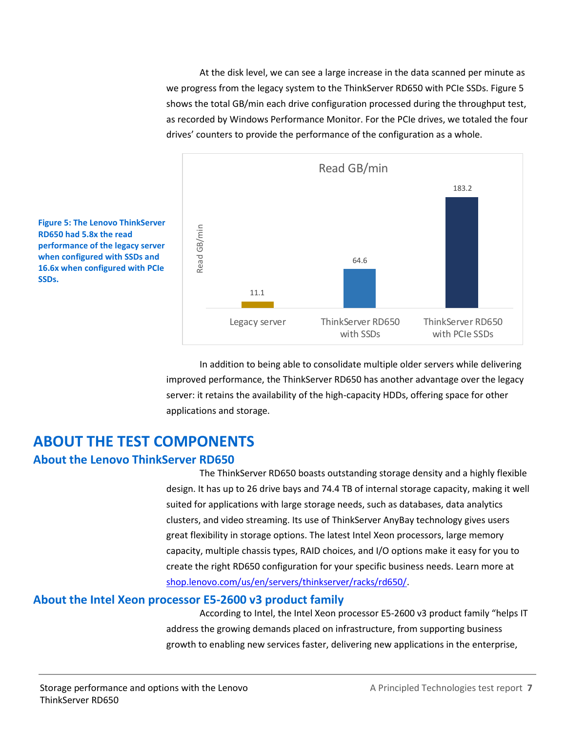At the disk level, we can see a large increase in the data scanned per minute as we progress from the legacy system to the ThinkServer RD650 with PCIe SSDs. Figure 5 shows the total GB/min each drive configuration processed during the throughput test, as recorded by Windows Performance Monitor. For the PCIe drives, we totaled the four drives' counters to provide the performance of the configuration as a whole.





In addition to being able to consolidate multiple older servers while delivering improved performance, the ThinkServer RD650 has another advantage over the legacy server: it retains the availability of the high-capacity HDDs, offering space for other applications and storage.

## **ABOUT THE TEST COMPONENTS**

## **About the Lenovo ThinkServer RD650**

The ThinkServer RD650 boasts outstanding storage density and a highly flexible design. It has up to 26 drive bays and 74.4 TB of internal storage capacity, making it well suited for applications with large storage needs, such as databases, data analytics clusters, and video streaming. Its use of ThinkServer AnyBay technology gives users great flexibility in storage options. The latest Intel Xeon processors, large memory capacity, multiple chassis types, RAID choices, and I/O options make it easy for you to create the right RD650 configuration for your specific business needs. Learn more at [shop.lenovo.com/us/en/servers/thinkserver/racks/rd650/.](http://shop.lenovo.com/us/en/servers/thinkserver/racks/rd650/)

## **About the Intel Xeon processor E5-2600 v3 product family**

According to Intel, the Intel Xeon processor E5-2600 v3 product family "helps IT address the growing demands placed on infrastructure, from supporting business growth to enabling new services faster, delivering new applications in the enterprise,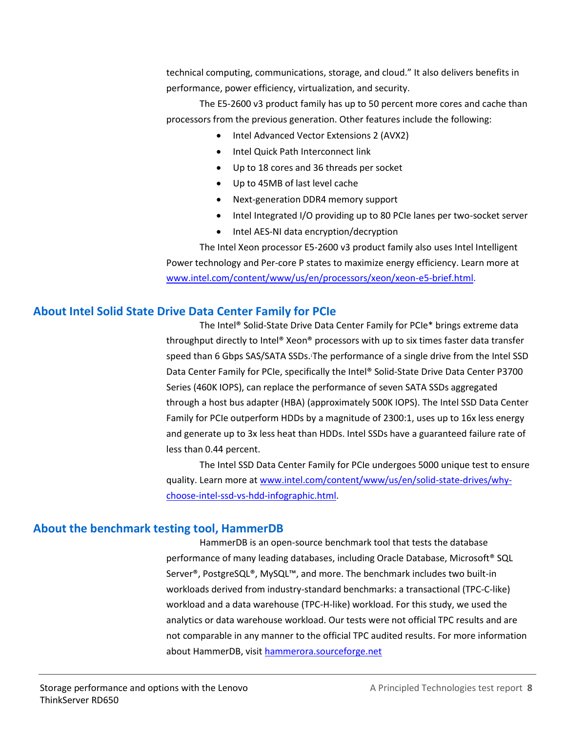technical computing, communications, storage, and cloud." It also delivers benefits in performance, power efficiency, virtualization, and security.

The E5-2600 v3 product family has up to 50 percent more cores and cache than processors from the previous generation. Other features include the following:

- Intel Advanced Vector Extensions 2 (AVX2)
- Intel Quick Path Interconnect link
- Up to 18 cores and 36 threads per socket
- Up to 45MB of last level cache
- Next-generation DDR4 memory support
- Intel Integrated I/O providing up to 80 PCIe lanes per two-socket server
- Intel AES-NI data encryption/decryption

The Intel Xeon processor E5-2600 v3 product family also uses Intel Intelligent Power technology and Per-core P states to maximize energy efficiency. Learn more at [www.intel.com/content/www/us/en/processors/xeon/xeon-e5-brief.html.](http://www.intel.com/content/www/us/en/processors/xeon/xeon-e5-brief.html)

#### **About Intel Solid State Drive Data Center Family for PCIe**

The Intel® Solid-State Drive Data Center Family for PCIe\* brings extreme data throughput directly to Intel® Xeon® processors with up to six times faster data transfer speed than 6 Gbps SAS/SATA SSDs. The performance of a single drive from the Intel SSD Data Center Family for PCIe, specifically the Intel® Solid-State Drive Data Center P3700 Series (460K IOPS), can replace the performance of seven SATA SSDs aggregated through a host bus adapter (HBA) (approximately 500K IOPS). The Intel SSD Data Center Family for PCIe outperform HDDs by a magnitude of 2300:1, uses up to 16x less energy and generate up to 3x less heat than HDDs. Intel SSDs have a guaranteed failure rate of less than 0.44 percent.

The Intel SSD Data Center Family for PCIe undergoes 5000 unique test to ensure quality. Learn more at [www.intel.com/content/www/us/en/solid-state-drives/why](http://www.intel.com/content/www/us/en/solid-state-drives/why-choose-intel-ssd-vs-hdd-infographic.html)[choose-intel-ssd-vs-hdd-infographic.html.](http://www.intel.com/content/www/us/en/solid-state-drives/why-choose-intel-ssd-vs-hdd-infographic.html)

#### **About the benchmark testing tool, HammerDB**

HammerDB is an open-source benchmark tool that tests the database performance of many leading databases, including Oracle Database, Microsoft® SQL Server®, PostgreSQL®, MySQL™, and more. The benchmark includes two built-in workloads derived from industry-standard benchmarks: a transactional (TPC-C-like) workload and a data warehouse (TPC-H-like) workload. For this study, we used the analytics or data warehouse workload. Our tests were not official TPC results and are not comparable in any manner to the official TPC audited results. For more information about HammerDB, visit [hammerora.sourceforge.net](http://www.hammerora.sourceforge.net/)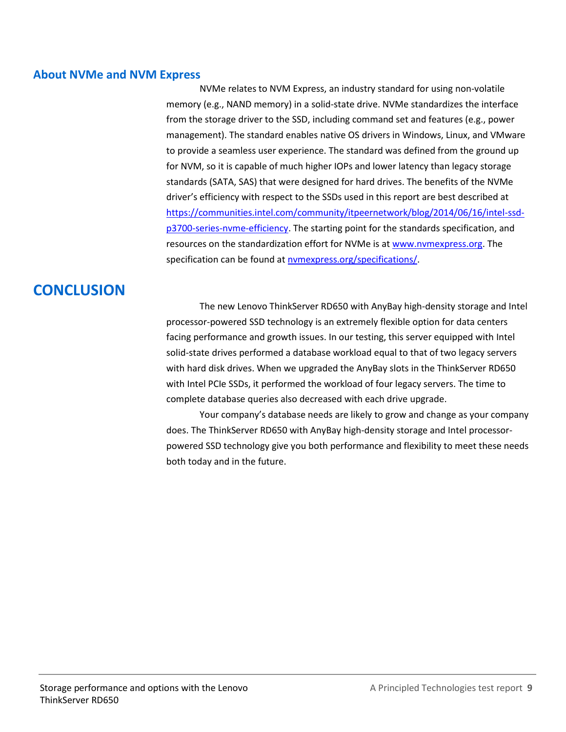#### <span id="page-8-0"></span>**About NVMe and NVM Express**

NVMe relates to NVM Express, an industry standard for using non-volatile memory (e.g., NAND memory) in a solid-state drive. NVMe standardizes the interface from the storage driver to the SSD, including command set and features (e.g., power management). The standard enables native OS drivers in Windows, Linux, and VMware to provide a seamless user experience. The standard was defined from the ground up for NVM, so it is capable of much higher IOPs and lower latency than legacy storage standards (SATA, SAS) that were designed for hard drives. The benefits of the NVMe driver's efficiency with respect to the SSDs used in this report are best described at [https://communities.intel.com/community/itpeernetwork/blog/2014/06/16/intel-ssd](https://communities.intel.com/community/itpeernetwork/blog/2014/06/16/intel-ssd-p3700-series-nvme-efficiency)[p3700-series-nvme-efficiency.](https://communities.intel.com/community/itpeernetwork/blog/2014/06/16/intel-ssd-p3700-series-nvme-efficiency) The starting point for the standards specification, and resources on the standardization effort for NVMe is a[t www.nvmexpress.org.](http://www.nvmexpress.org/) The specification can be found at **nymexpress.org/specifications/**.

# **CONCLUSION**

The new Lenovo ThinkServer RD650 with AnyBay high-density storage and Intel processor-powered SSD technology is an extremely flexible option for data centers facing performance and growth issues. In our testing, this server equipped with Intel solid-state drives performed a database workload equal to that of two legacy servers with hard disk drives. When we upgraded the AnyBay slots in the ThinkServer RD650 with Intel PCIe SSDs, it performed the workload of four legacy servers. The time to complete database queries also decreased with each drive upgrade.

Your company's database needs are likely to grow and change as your company does. The ThinkServer RD650 with AnyBay high-density storage and Intel processorpowered SSD technology give you both performance and flexibility to meet these needs both today and in the future.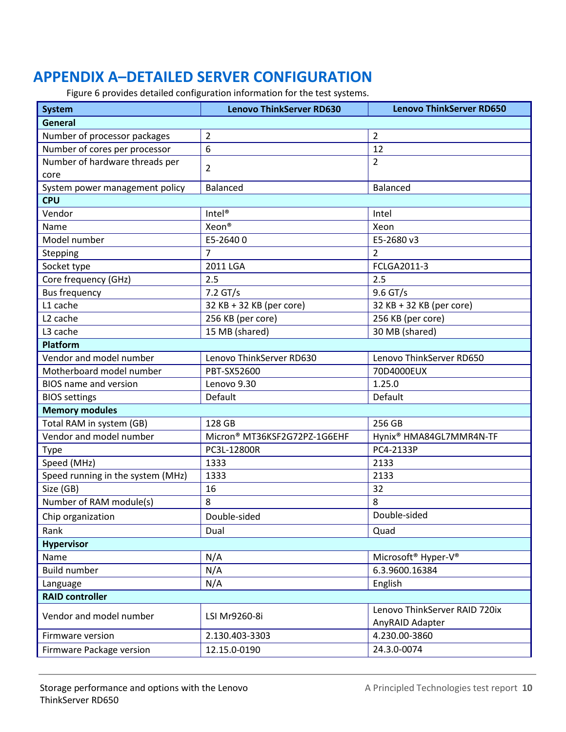# **APPENDIX A–DETAILED SERVER CONFIGURATION**

Figure 6 provides detailed configuration information for the test systems.

| <b>System</b>                     | <b>Lenovo ThinkServer RD630</b> | <b>Lenovo ThinkServer RD650</b>             |  |
|-----------------------------------|---------------------------------|---------------------------------------------|--|
| General                           |                                 |                                             |  |
| Number of processor packages      | 2                               | $\overline{2}$                              |  |
| Number of cores per processor     | 6                               | 12                                          |  |
| Number of hardware threads per    | $\overline{2}$                  | $\overline{2}$                              |  |
| core                              |                                 |                                             |  |
| System power management policy    | <b>Balanced</b>                 | Balanced                                    |  |
| <b>CPU</b>                        |                                 |                                             |  |
| Vendor                            | Intel <sup>®</sup>              | Intel                                       |  |
| Name                              | Xeon <sup>®</sup>               | Xeon                                        |  |
| Model number                      | E5-26400                        | E5-2680 v3                                  |  |
| Stepping                          | $\overline{7}$                  | $\overline{2}$                              |  |
| Socket type                       | 2011 LGA                        | FCLGA2011-3                                 |  |
| Core frequency (GHz)              | 2.5                             | 2.5                                         |  |
| <b>Bus frequency</b>              | $7.2$ GT/s                      | 9.6 GT/s                                    |  |
| L1 cache                          | 32 KB + 32 KB (per core)        | 32 KB + 32 KB (per core)                    |  |
| L <sub>2</sub> cache              | 256 KB (per core)               | 256 KB (per core)                           |  |
| L3 cache                          | 15 MB (shared)                  | 30 MB (shared)                              |  |
| <b>Platform</b>                   |                                 |                                             |  |
| Vendor and model number           | Lenovo ThinkServer RD630        | Lenovo ThinkServer RD650                    |  |
| Motherboard model number          | PBT-SX52600                     | 70D4000EUX                                  |  |
| <b>BIOS</b> name and version      | Lenovo 9.30                     | 1.25.0                                      |  |
| <b>BIOS settings</b>              | Default                         | Default                                     |  |
| <b>Memory modules</b>             |                                 |                                             |  |
| Total RAM in system (GB)          | 128 GB                          | 256 GB                                      |  |
| Vendor and model number           | Micron® MT36KSF2G72PZ-1G6EHF    | Hynix® HMA84GL7MMR4N-TF                     |  |
| <b>Type</b>                       | PC3L-12800R                     | PC4-2133P                                   |  |
| Speed (MHz)                       | 1333                            | 2133                                        |  |
| Speed running in the system (MHz) | 1333                            | 2133                                        |  |
| Size (GB)                         | 16                              | 32                                          |  |
| Number of RAM module(s)           | 8                               | 8                                           |  |
| Chip organization                 | Double-sided                    | Double-sided                                |  |
| Rank                              | Dual                            | Quad                                        |  |
| <b>Hypervisor</b>                 |                                 |                                             |  |
| Name                              | N/A                             | Microsoft <sup>®</sup> Hyper-V <sup>®</sup> |  |
| <b>Build number</b>               | N/A                             | 6.3.9600.16384                              |  |
| Language                          | N/A                             | English                                     |  |
| <b>RAID controller</b>            |                                 |                                             |  |
| Vendor and model number           | LSI Mr9260-8i                   | Lenovo ThinkServer RAID 720ix               |  |
|                                   |                                 | AnyRAID Adapter                             |  |
| Firmware version                  | 2.130.403-3303                  | 4.230.00-3860                               |  |
| Firmware Package version          | 12.15.0-0190                    | 24.3.0-0074                                 |  |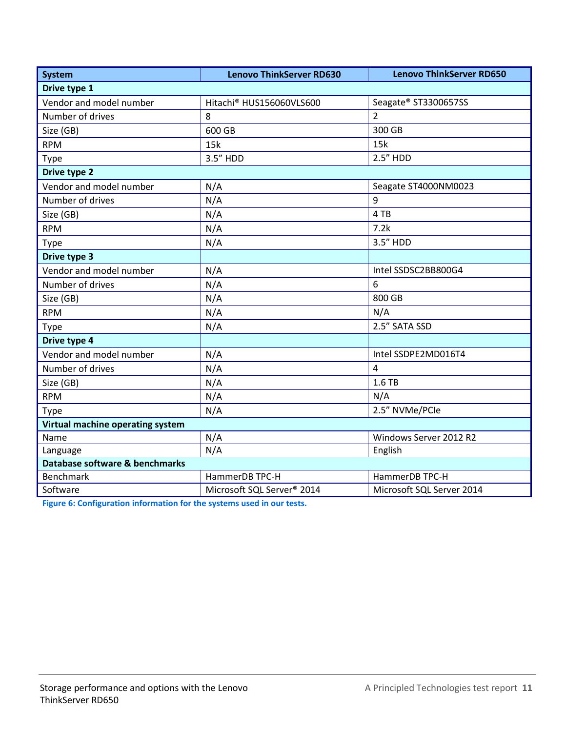| <b>System</b>                    | <b>Lenovo ThinkServer RD630</b>        | <b>Lenovo ThinkServer RD650</b> |  |
|----------------------------------|----------------------------------------|---------------------------------|--|
| Drive type 1                     |                                        |                                 |  |
| Vendor and model number          | Hitachi <sup>®</sup> HUS156060VLS600   | Seagate® ST3300657SS            |  |
| Number of drives                 | 8                                      | $\overline{2}$                  |  |
| Size (GB)                        | 600 GB                                 | 300 GB                          |  |
| <b>RPM</b>                       | 15k                                    | 15k                             |  |
| <b>Type</b>                      | 3.5" HDD                               | 2.5" HDD                        |  |
| <b>Drive type 2</b>              |                                        |                                 |  |
| Vendor and model number          | N/A                                    | Seagate ST4000NM0023            |  |
| Number of drives                 | N/A                                    | 9                               |  |
| Size (GB)                        | N/A                                    | 4 TB                            |  |
| <b>RPM</b>                       | N/A                                    | 7.2k                            |  |
| <b>Type</b>                      | N/A                                    | 3.5" HDD                        |  |
| Drive type 3                     |                                        |                                 |  |
| Vendor and model number          | N/A                                    | Intel SSDSC2BB800G4             |  |
| Number of drives                 | N/A                                    | 6                               |  |
| Size (GB)                        | N/A                                    | 800 GB                          |  |
| <b>RPM</b>                       | N/A                                    | N/A                             |  |
| <b>Type</b>                      | N/A                                    | 2.5" SATA SSD                   |  |
| Drive type 4                     |                                        |                                 |  |
| Vendor and model number          | N/A                                    | Intel SSDPE2MD016T4             |  |
| Number of drives                 | N/A                                    | $\overline{4}$                  |  |
| Size (GB)                        | N/A                                    | 1.6 TB                          |  |
| <b>RPM</b>                       | N/A                                    | N/A                             |  |
| Type                             | N/A                                    | 2.5" NVMe/PCIe                  |  |
| Virtual machine operating system |                                        |                                 |  |
| Name                             | N/A                                    | Windows Server 2012 R2          |  |
| Language                         | N/A                                    | English                         |  |
| Database software & benchmarks   |                                        |                                 |  |
| Benchmark                        | HammerDB TPC-H                         | HammerDB TPC-H                  |  |
| Software                         | Microsoft SQL Server <sup>®</sup> 2014 | Microsoft SQL Server 2014       |  |

**Figure 6: Configuration information for the systems used in our tests.**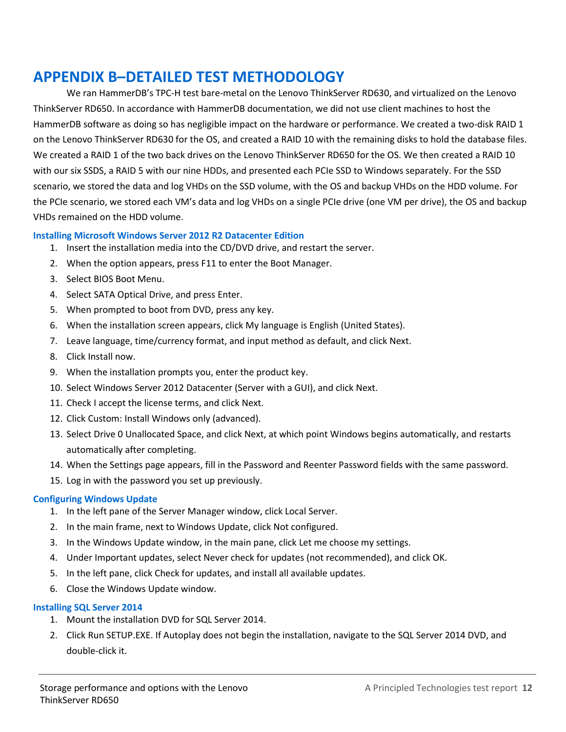## **APPENDIX B–DETAILED TEST METHODOLOGY**

We ran HammerDB's TPC-H test bare-metal on the Lenovo ThinkServer RD630, and virtualized on the Lenovo ThinkServer RD650. In accordance with HammerDB documentation, we did not use client machines to host the HammerDB software as doing so has negligible impact on the hardware or performance. We created a two-disk RAID 1 on the Lenovo ThinkServer RD630 for the OS, and created a RAID 10 with the remaining disks to hold the database files. We created a RAID 1 of the two back drives on the Lenovo ThinkServer RD650 for the OS. We then created a RAID 10 with our six SSDS, a RAID 5 with our nine HDDs, and presented each PCIe SSD to Windows separately. For the SSD scenario, we stored the data and log VHDs on the SSD volume, with the OS and backup VHDs on the HDD volume. For the PCIe scenario, we stored each VM's data and log VHDs on a single PCIe drive (one VM per drive), the OS and backup VHDs remained on the HDD volume.

#### **Installing Microsoft Windows Server 2012 R2 Datacenter Edition**

- 1. Insert the installation media into the CD/DVD drive, and restart the server.
- 2. When the option appears, press F11 to enter the Boot Manager.
- 3. Select BIOS Boot Menu.
- 4. Select SATA Optical Drive, and press Enter.
- 5. When prompted to boot from DVD, press any key.
- 6. When the installation screen appears, click My language is English (United States).
- 7. Leave language, time/currency format, and input method as default, and click Next.
- 8. Click Install now.
- 9. When the installation prompts you, enter the product key.
- 10. Select Windows Server 2012 Datacenter (Server with a GUI), and click Next.
- 11. Check I accept the license terms, and click Next.
- 12. Click Custom: Install Windows only (advanced).
- 13. Select Drive 0 Unallocated Space, and click Next, at which point Windows begins automatically, and restarts automatically after completing.
- 14. When the Settings page appears, fill in the Password and Reenter Password fields with the same password.
- 15. Log in with the password you set up previously.

#### **Configuring Windows Update**

- 1. In the left pane of the Server Manager window, click Local Server.
- 2. In the main frame, next to Windows Update, click Not configured.
- 3. In the Windows Update window, in the main pane, click Let me choose my settings.
- 4. Under Important updates, select Never check for updates (not recommended), and click OK.
- 5. In the left pane, click Check for updates, and install all available updates.
- 6. Close the Windows Update window.

#### **Installing SQL Server 2014**

- 1. Mount the installation DVD for SQL Server 2014.
- 2. Click Run SETUP.EXE. If Autoplay does not begin the installation, navigate to the SQL Server 2014 DVD, and double-click it.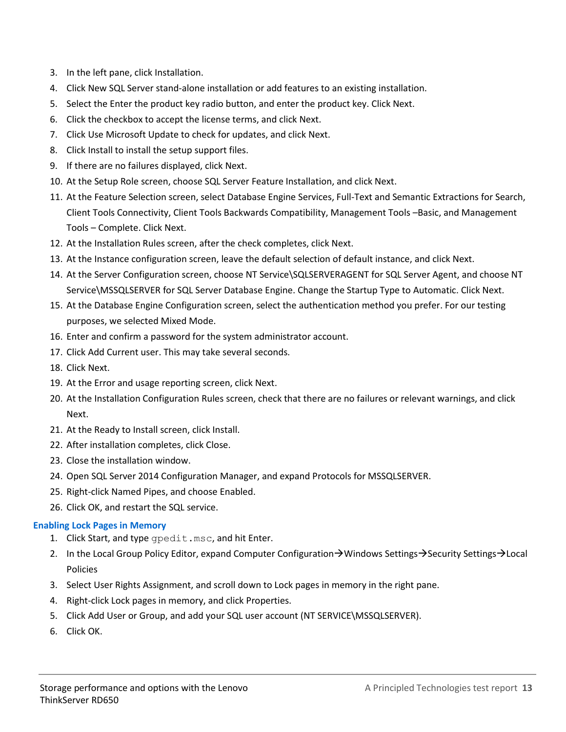- 3. In the left pane, click Installation.
- 4. Click New SQL Server stand-alone installation or add features to an existing installation.
- 5. Select the Enter the product key radio button, and enter the product key. Click Next.
- 6. Click the checkbox to accept the license terms, and click Next.
- 7. Click Use Microsoft Update to check for updates, and click Next.
- 8. Click Install to install the setup support files.
- 9. If there are no failures displayed, click Next.
- 10. At the Setup Role screen, choose SQL Server Feature Installation, and click Next.
- 11. At the Feature Selection screen, select Database Engine Services, Full-Text and Semantic Extractions for Search, Client Tools Connectivity, Client Tools Backwards Compatibility, Management Tools –Basic, and Management Tools – Complete. Click Next.
- 12. At the Installation Rules screen, after the check completes, click Next.
- 13. At the Instance configuration screen, leave the default selection of default instance, and click Next.
- 14. At the Server Configuration screen, choose NT Service\SQLSERVERAGENT for SQL Server Agent, and choose NT Service\MSSQLSERVER for SQL Server Database Engine. Change the Startup Type to Automatic. Click Next.
- 15. At the Database Engine Configuration screen, select the authentication method you prefer. For our testing purposes, we selected Mixed Mode.
- 16. Enter and confirm a password for the system administrator account.
- 17. Click Add Current user. This may take several seconds.
- 18. Click Next.
- 19. At the Error and usage reporting screen, click Next.
- 20. At the Installation Configuration Rules screen, check that there are no failures or relevant warnings, and click Next.
- 21. At the Ready to Install screen, click Install.
- 22. After installation completes, click Close.
- 23. Close the installation window.
- 24. Open SQL Server 2014 Configuration Manager, and expand Protocols for MSSQLSERVER.
- 25. Right-click Named Pipes, and choose Enabled.
- 26. Click OK, and restart the SQL service.

#### **Enabling Lock Pages in Memory**

- 1. Click Start, and type gpedit.msc, and hit Enter.
- 2. In the Local Group Policy Editor, expand Computer Configuration  $\rightarrow$  Windows Settings $\rightarrow$  Security Settings  $\rightarrow$  Local Policies
- 3. Select User Rights Assignment, and scroll down to Lock pages in memory in the right pane.
- 4. Right-click Lock pages in memory, and click Properties.
- 5. Click Add User or Group, and add your SQL user account (NT SERVICE\MSSQLSERVER).
- 6. Click OK.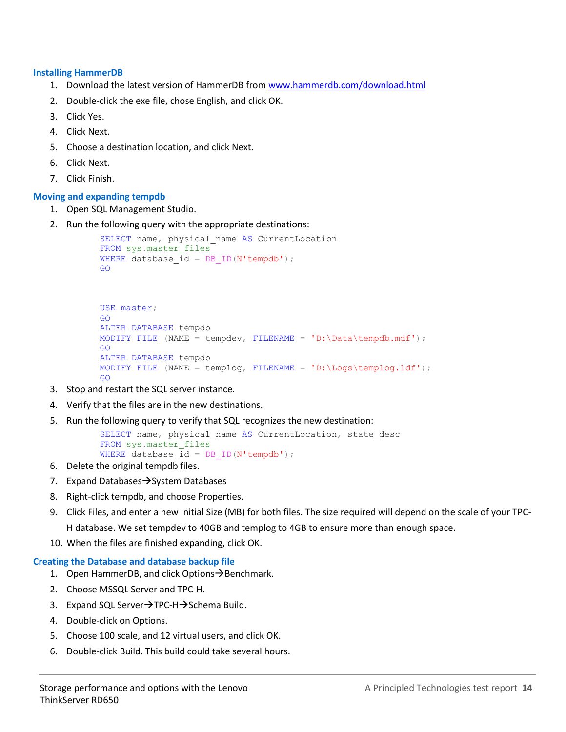#### **Installing HammerDB**

- 1. Download the latest version of HammerDB from [www.hammerdb.com/download.html](http://www.hammerdb.com/download.html)
- 2. Double-click the exe file, chose English, and click OK.
- 3. Click Yes.
- 4. Click Next.
- 5. Choose a destination location, and click Next.
- 6. Click Next.
- 7. Click Finish.

#### **Moving and expanding tempdb**

- 1. Open SQL Management Studio.
- 2. Run the following query with the appropriate destinations:

```
SELECT name, physical name AS CurrentLocation
FROM sys.master files
WHERE database id = DB ID(N'tempdb');
GO
```

```
USE master;
GO
ALTER DATABASE tempdb 
MODIFY FILE (NAME = tempdev, FILENAME = 'D:\Data\tempdb.mdf');
GO
ALTER DATABASE tempdb 
MODIFY FILE (NAME = templog, FILENAME = 'D:\Logs\templog.ldf');
GO
```
- 3. Stop and restart the SQL server instance.
- 4. Verify that the files are in the new destinations.
- 5. Run the following query to verify that SQL recognizes the new destination:

```
SELECT name, physical name AS CurrentLocation, state desc
FROM sys.master files
WHERE database id = DB ID(N'tempdb');
```
- 6. Delete the original tempdb files.
- 7. Expand Databases  $\rightarrow$  System Databases
- 8. Right-click tempdb, and choose Properties.
- 9. Click Files, and enter a new Initial Size (MB) for both files. The size required will depend on the scale of your TPC-H database. We set tempdev to 40GB and templog to 4GB to ensure more than enough space.
- 10. When the files are finished expanding, click OK.

#### **Creating the Database and database backup file**

- 1. Open HammerDB, and click Options  $\rightarrow$  Benchmark.
- 2. Choose MSSQL Server and TPC-H.
- 3. Expand SQL Server $\rightarrow$ TPC-H $\rightarrow$ Schema Build.
- 4. Double-click on Options.
- 5. Choose 100 scale, and 12 virtual users, and click OK.
- 6. Double-click Build. This build could take several hours.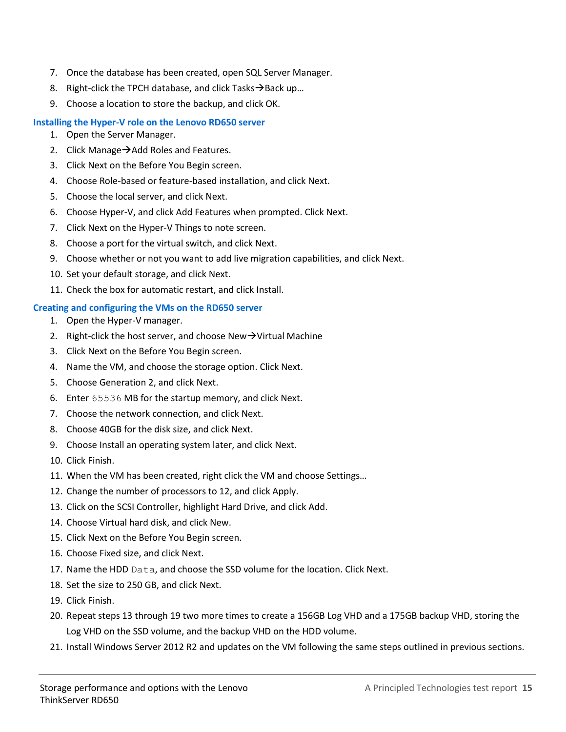- 7. Once the database has been created, open SQL Server Manager.
- 8. Right-click the TPCH database, and click Tasks  $\rightarrow$  Back up...
- 9. Choose a location to store the backup, and click OK.

#### **Installing the Hyper-V role on the Lenovo RD650 server**

- 1. Open the Server Manager.
- 2. Click Manage $\rightarrow$  Add Roles and Features.
- 3. Click Next on the Before You Begin screen.
- 4. Choose Role-based or feature-based installation, and click Next.
- 5. Choose the local server, and click Next.
- 6. Choose Hyper-V, and click Add Features when prompted. Click Next.
- 7. Click Next on the Hyper-V Things to note screen.
- 8. Choose a port for the virtual switch, and click Next.
- 9. Choose whether or not you want to add live migration capabilities, and click Next.
- 10. Set your default storage, and click Next.
- 11. Check the box for automatic restart, and click Install.

#### **Creating and configuring the VMs on the RD650 server**

- 1. Open the Hyper-V manager.
- 2. Right-click the host server, and choose New $\rightarrow$ Virtual Machine
- 3. Click Next on the Before You Begin screen.
- 4. Name the VM, and choose the storage option. Click Next.
- 5. Choose Generation 2, and click Next.
- 6. Enter 65536 MB for the startup memory, and click Next.
- 7. Choose the network connection, and click Next.
- 8. Choose 40GB for the disk size, and click Next.
- 9. Choose Install an operating system later, and click Next.
- 10. Click Finish.
- 11. When the VM has been created, right click the VM and choose Settings…
- 12. Change the number of processors to 12, and click Apply.
- 13. Click on the SCSI Controller, highlight Hard Drive, and click Add.
- 14. Choose Virtual hard disk, and click New.
- 15. Click Next on the Before You Begin screen.
- 16. Choose Fixed size, and click Next.
- 17. Name the HDD Data, and choose the SSD volume for the location. Click Next.
- 18. Set the size to 250 GB, and click Next.
- 19. Click Finish.
- 20. Repeat steps 13 through 19 two more times to create a 156GB Log VHD and a 175GB backup VHD, storing the Log VHD on the SSD volume, and the backup VHD on the HDD volume.
- 21. Install Windows Server 2012 R2 and updates on the VM following the same steps outlined in previous sections.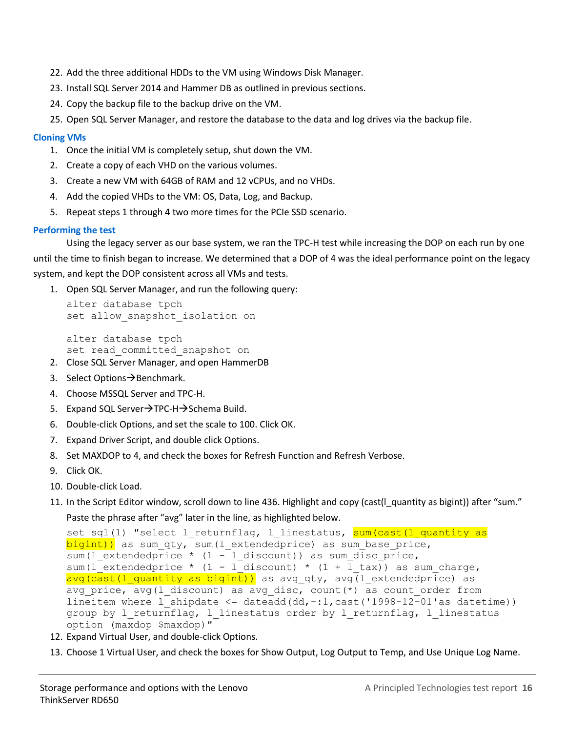- 22. Add the three additional HDDs to the VM using Windows Disk Manager.
- 23. Install SQL Server 2014 and Hammer DB as outlined in previous sections.
- 24. Copy the backup file to the backup drive on the VM.
- 25. Open SQL Server Manager, and restore the database to the data and log drives via the backup file.

#### **Cloning VMs**

- 1. Once the initial VM is completely setup, shut down the VM.
- 2. Create a copy of each VHD on the various volumes.
- 3. Create a new VM with 64GB of RAM and 12 vCPUs, and no VHDs.
- 4. Add the copied VHDs to the VM: OS, Data, Log, and Backup.
- 5. Repeat steps 1 through 4 two more times for the PCIe SSD scenario.

#### **Performing the test**

Using the legacy server as our base system, we ran the TPC-H test while increasing the DOP on each run by one until the time to finish began to increase. We determined that a DOP of 4 was the ideal performance point on the legacy system, and kept the DOP consistent across all VMs and tests.

1. Open SQL Server Manager, and run the following query:

```
alter database tpch
set allow snapshot isolation on
```
alter database tpch set read committed snapshot on

- 2. Close SQL Server Manager, and open HammerDB
- 3. Select Options  $\rightarrow$  Benchmark.
- 4. Choose MSSQL Server and TPC-H.
- 5. Expand SQL Server $\rightarrow$ TPC-H $\rightarrow$ Schema Build.
- 6. Double-click Options, and set the scale to 100. Click OK.
- 7. Expand Driver Script, and double click Options.
- 8. Set MAXDOP to 4, and check the boxes for Refresh Function and Refresh Verbose.
- 9. Click OK.
- 10. Double-click Load.
- 11. In the Script Editor window, scroll down to line 436. Highlight and copy (cast(I\_quantity as bigint)) after "sum." Paste the phrase after "avg" later in the line, as highlighted below.

```
set sql(1) "select 1 returnflag, 1 linestatus, sum(cast(l quantity as
bigint)) as sum qty, sum(l extendedprice) as sum base price,
sum(1-extendedprice * (1 - 1_discount)) as sum_disc_price,
sum(l_extendedprice * (1 - l_discount) * (1 + l_tax)) as sum charge,
avg(cast(l quantity as bigint)) as avg qty, avg(l extendedprice) as
avg price, avg(l discount) as avg disc, count(*) as count order from
lineitem where 1 shipdate \leq dateadd(dd,-:1,cast('1998-12-01'as datetime))
group by 1 returnflag, 1 linestatus order by 1 returnflag, 1 linestatus
option (maxdop $maxdop)"
```
- 12. Expand Virtual User, and double-click Options.
- 13. Choose 1 Virtual User, and check the boxes for Show Output, Log Output to Temp, and Use Unique Log Name.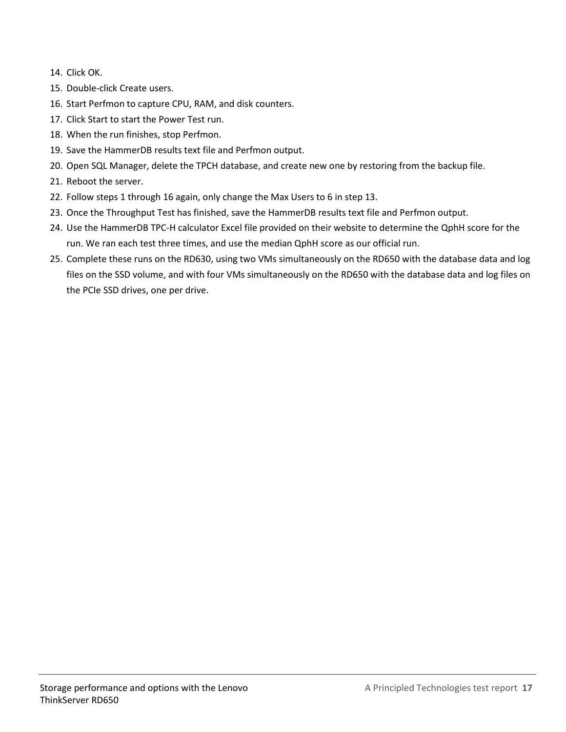- 14. Click OK.
- 15. Double-click Create users.
- 16. Start Perfmon to capture CPU, RAM, and disk counters.
- 17. Click Start to start the Power Test run.
- 18. When the run finishes, stop Perfmon.
- 19. Save the HammerDB results text file and Perfmon output.
- 20. Open SQL Manager, delete the TPCH database, and create new one by restoring from the backup file.
- 21. Reboot the server.
- 22. Follow steps 1 through 16 again, only change the Max Users to 6 in step 13.
- 23. Once the Throughput Test has finished, save the HammerDB results text file and Perfmon output.
- 24. Use the HammerDB TPC-H calculator Excel file provided on their website to determine the QphH score for the run. We ran each test three times, and use the median QphH score as our official run.
- 25. Complete these runs on the RD630, using two VMs simultaneously on the RD650 with the database data and log files on the SSD volume, and with four VMs simultaneously on the RD650 with the database data and log files on the PCIe SSD drives, one per drive.